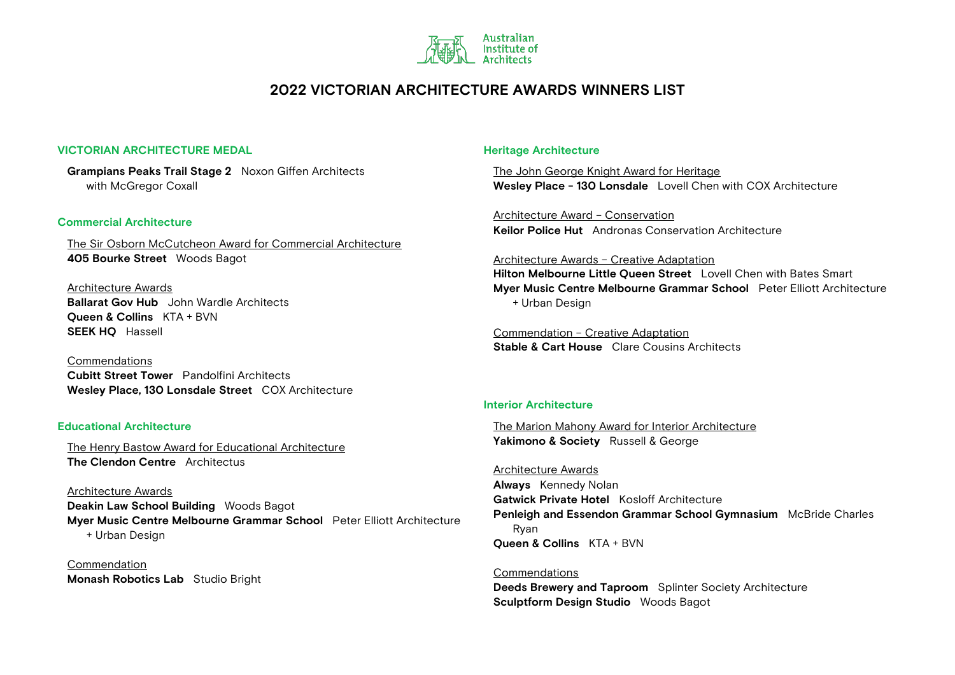

### **VICTORIAN ARCHITECTURE MEDAL**

**Grampians Peaks Trail Stage 2** Noxon Giffen Architects with McGregor Coxall

### **Commercial Architecture**

The Sir Osborn McCutcheon Award for Commercial Architecture **405 Bourke Street** Woods Bagot

Architecture Awards **Ballarat Gov Hub** John Wardle Architects **Queen & Collins** KTA + BVN **SEEK HQ** Hassell

Commendations **Cubitt Street Tower** Pandolfini Architects **Wesley Place, 130 Lonsdale Street** COX Architecture

### **Educational Architecture**

The Henry Bastow Award for Educational Architecture **The Clendon Centre** Architectus

Architecture Awards **Deakin Law School Building** Woods Bagot **Myer Music Centre Melbourne Grammar School** Peter Elliott Architecture + Urban Design

Commendation **Monash Robotics Lab** Studio Bright

### **Heritage Architecture**

The John George Knight Award for Heritage **Wesley Place - 130 Lonsdale** Lovell Chen with COX Architecture

Architecture Award – Conservation **Keilor Police Hut** Andronas Conservation Architecture

#### Architecture Awards – Creative Adaptation

**Hilton Melbourne Little Queen Street** Lovell Chen with Bates Smart **Myer Music Centre Melbourne Grammar School** Peter Elliott Architecture + Urban Design

Commendation – Creative Adaptation **Stable & Cart House** Clare Cousins Architects

### **Interior Architecture**

The Marion Mahony Award for Interior Architecture **Yakimono & Society** Russell & George

Architecture Awards **Always** Kennedy Nolan **Gatwick Private Hotel** Kosloff Architecture **Penleigh and Essendon Grammar School Gymnasium** McBride Charles Ryan **Queen & Collins** KTA + BVN

### Commendations

**Deeds Brewery and Taproom** Splinter Society Architecture **Sculptform Design Studio** Woods Bagot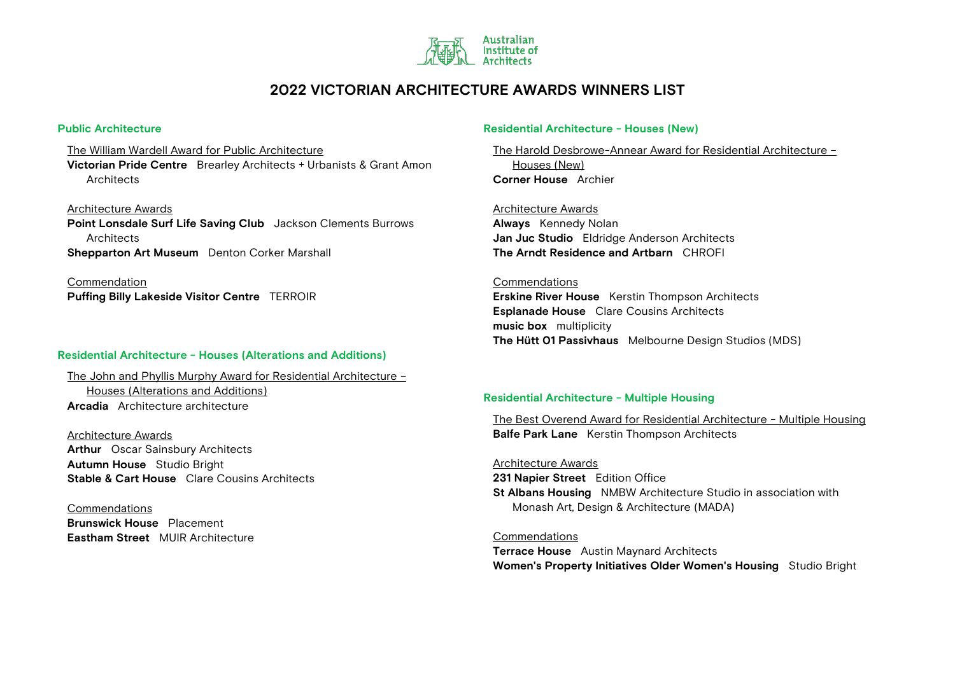

### **Public Architecture**

The William Wardell Award for Public Architecture **Victorian Pride Centre** Brearley Architects + Urbanists & Grant Amon **Architects** 

Architecture Awards **Point Lonsdale Surf Life Saving Club** Jackson Clements Burrows **Architects Shepparton Art Museum** Denton Corker Marshall

Commendation **Puffing Billy Lakeside Visitor Centre** TERROIR

### **Residential Architecture - Houses (Alterations and Additions)**

The John and Phyllis Murphy Award for Residential Architecture – Houses (Alterations and Additions) **Arcadia** Architecture architecture

Architecture Awards **Arthur** Oscar Sainsbury Architects **Autumn House** Studio Bright **Stable & Cart House** Clare Cousins Architects

Commendations **Brunswick House** Placement **Eastham Street** MUIR Architecture

### **Residential Architecture - Houses (New)**

The Harold Desbrowe-Annear Award for Residential Architecture – Houses (New) **Corner House** Archier

Architecture Awards **Always** Kennedy Nolan **Jan Juc Studio** Eldridge Anderson Architects **The Arndt Residence and Artbarn** CHROFI

#### Commendations

**Erskine River House** Kerstin Thompson Architects **Esplanade House** Clare Cousins Architects **music box** multiplicity **The Hütt 01 Passivhaus** Melbourne Design Studios (MDS)

### **Residential Architecture - Multiple Housing**

The Best Overend Award for Residential Architecture - Multiple Housing **Balfe Park Lane** Kerstin Thompson Architects

Architecture Awards

**231 Napier Street** Edition Office **St Albans Housing** NMBW Architecture Studio in association with Monash Art, Design & Architecture (MADA)

Commendations

**Terrace House** Austin Maynard Architects **Women's Property Initiatives Older Women's Housing** Studio Bright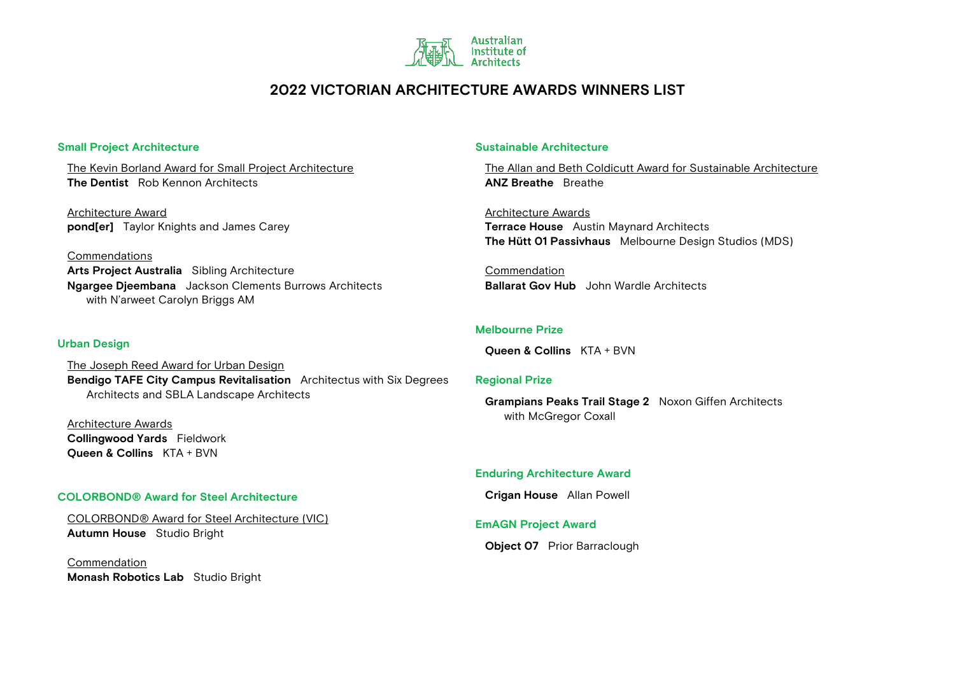

### **Small Project Architecture**

The Kevin Borland Award for Small Project Architecture **The Dentist** Rob Kennon Architects

Architecture Award **pond[er]** Taylor Knights and James Carey

Commendations **Arts Project Australia** Sibling Architecture **Ngargee Djeembana** Jackson Clements Burrows Architects with N'arweet Carolyn Briggs AM

### **Urban Design**

The Joseph Reed Award for Urban Design **Bendigo TAFE City Campus Revitalisation** Architectus with Six Degrees Architects and SBLA Landscape Architects

Architecture Awards **Collingwood Yards** Fieldwork **Queen & Collins** KTA + BVN

### **COLORBOND® Award for Steel Architecture**

COLORBOND® Award for Steel Architecture (VIC) **Autumn House** Studio Bright

Commendation **Monash Robotics Lab** Studio Bright

### **Sustainable Architecture**

The Allan and Beth Coldicutt Award for Sustainable Architecture **ANZ Breathe** Breathe

Architecture Awards **Terrace House** Austin Maynard Architects **The Hütt 01 Passivhaus** Melbourne Design Studios (MDS)

Commendation **Ballarat Gov Hub** John Wardle Architects

### **Melbourne Prize**

**Queen & Collins** KTA + BVN

#### **Regional Prize**

**Grampians Peaks Trail Stage 2** Noxon Giffen Architects with McGregor Coxall

### **Enduring Architecture Award**

**Crigan House** Allan Powell

### **EmAGN Project Award**

**Object 07** Prior Barraclough